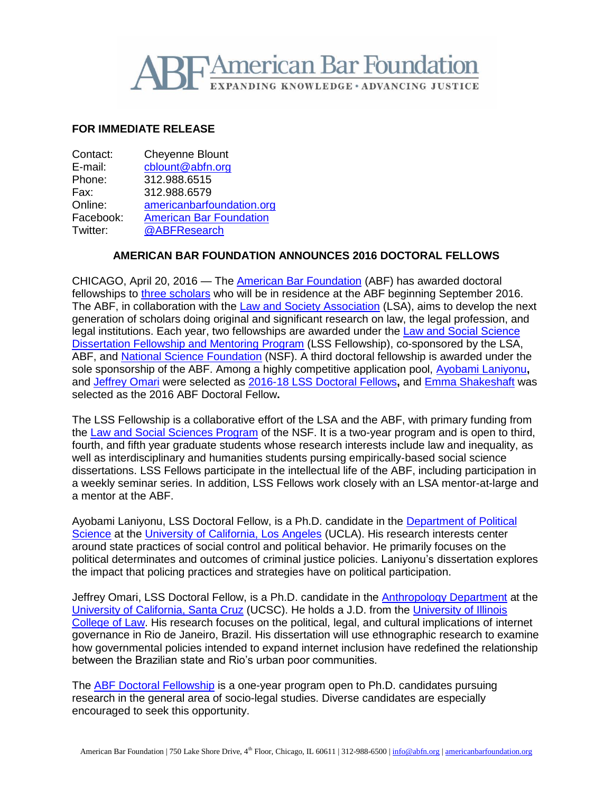

## **FOR IMMEDIATE RELEASE**

| Contact:  | <b>Cheyenne Blount</b>         |
|-----------|--------------------------------|
| E-mail:   | cblount@abfn.org               |
| Phone:    | 312.988.6515                   |
| Fax:      | 312.988.6579                   |
| Online:   | americanbarfoundation.org      |
| Facebook: | <b>American Bar Foundation</b> |
| Twitter:  | @ABFResearch                   |
|           |                                |

## **AMERICAN BAR FOUNDATION ANNOUNCES 2016 DOCTORAL FELLOWS**

CHICAGO, April 20, 2016 - The [American Bar Foundation](http://www.americanbarfoundation.org/index.html) (ABF) has awarded doctoral fellowships to [three scholars](http://www.americanbarfoundation.org/fellowships/Doctoral_Fellows/New_Doctoral_Fellows__2016_2017.html) who will be in residence at the ABF beginning September 2016. The ABF, in collaboration with the Law and Society [Association](http://www.lawandsociety.org/) (LSA), aims to develop the next generation of scholars doing original and significant research on law, the legal profession, and legal institutions. Each year, two fellowships are awarded under the Law and Social [Science](http://www.americanbarfoundation.org/research/Fellowshipopportunities/LawandSocialScienceDissertationFellowshipMentoringProgram.html) [Dissertation](http://www.americanbarfoundation.org/research/Fellowshipopportunities/LawandSocialScienceDissertationFellowshipMentoringProgram.html) Fellowship and Mentoring Program (LSS Fellowship), co-sponsored by the LSA, ABF, and **National Science Foundation** (NSF). A third doctoral fellowship is awarded under the sole sponsorship of the ABF. Among a highly competitive application pool, [Ayobami](http://www.polisci.ucla.edu/content/ayobami-laniyonu) Laniyonu**,** and [Jeffrey](http://anthro.ucsc.edu/faculty/singleton.php?&&singleton=true&cruz_id=jomari) Omari were selected as 2016-18 LSS [Doctoral](http://www.lawandsociety.org/fellowships/2016-2018.html) Fellows**,** and Emma [Shakeshaft](https://www.linkedin.com/in/emma-shakeshaft-053b7667) was selected as the 2016 ABF Doctoral Fellow**.**

The LSS Fellowship is a collaborative effort of the LSA and the ABF, with primary funding from the [Law and Social Sciences Program](https://www.nsf.gov/funding/pgm_summ.jsp?pims_id=504727) of the NSF. It is a two-year program and is open to third, fourth, and fifth year graduate students whose research interests include law and inequality, as well as interdisciplinary and humanities students pursing empirically-based social science dissertations. LSS Fellows participate in the intellectual life of the ABF, including participation in a weekly seminar series. In addition, LSS Fellows work closely with an LSA mentor-at-large and a mentor at the ABF.

Ayobami Laniyonu, LSS Doctoral Fellow, is a Ph.D. candidate in the Department of Political [Science](http://www.polisci.ucla.edu/) at the [University of California, Los Angeles](http://www.ucla.edu/) (UCLA). His research interests center around state practices of social control and political behavior. He primarily focuses on the political determinates and outcomes of criminal justice policies. Laniyonu's dissertation explores the impact that policing practices and strategies have on political participation.

Jeffrey Omari, LSS Doctoral Fellow, is a Ph.D. candidate in the [Anthropology Department](http://anthro.ucsc.edu/) at the [University of California, Santa Cruz](http://www.ucsc.edu/) (UCSC). He holds a J.D. from the [University](https://www.law.illinois.edu/) of Illinois [College of Law.](https://www.law.illinois.edu/) His research focuses on the political, legal, and cultural implications of internet governance in Rio de Janeiro, Brazil. His dissertation will use ethnographic research to examine how governmental policies intended to expand internet inclusion have redefined the relationship between the Brazilian state and Rio's urban poor communities.

The [ABF Doctoral Fellowship](http://www.americanbarfoundation.org/research/Fellowshipopportunities/ABFDoctoralFellowshipProgram.html) is a one-year program open to Ph.D. candidates pursuing research in the general area of socio-legal studies. Diverse candidates are especially encouraged to seek this opportunity.